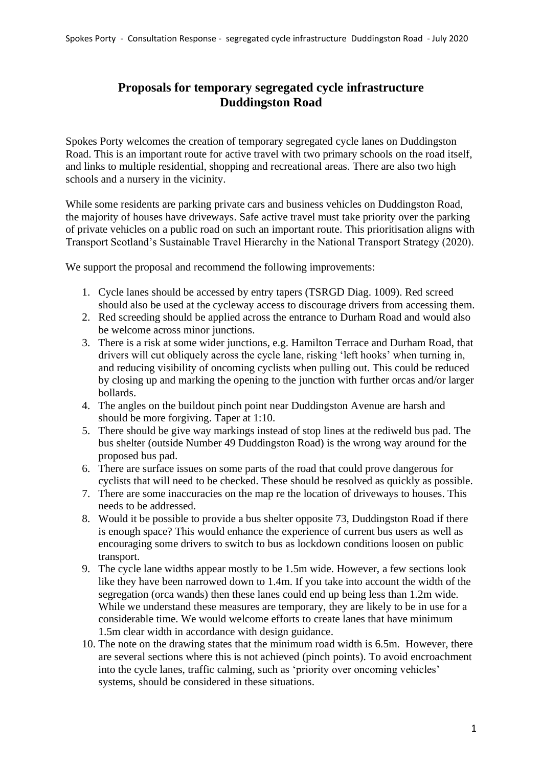## **Proposals for temporary segregated cycle infrastructure Duddingston Road**

Spokes Porty welcomes the creation of temporary segregated cycle lanes on Duddingston Road. This is an important route for active travel with two primary schools on the road itself, and links to multiple residential, shopping and recreational areas. There are also two high schools and a nursery in the vicinity.

While some residents are parking private cars and business vehicles on Duddingston Road, the majority of houses have driveways. Safe active travel must take priority over the parking of private vehicles on a public road on such an important route. This prioritisation aligns with Transport Scotland's Sustainable Travel Hierarchy in the National Transport Strategy (2020).

We support the proposal and recommend the following improvements:

- 1. Cycle lanes should be accessed by entry tapers (TSRGD Diag. 1009). Red screed should also be used at the cycleway access to discourage drivers from accessing them.
- 2. Red screeding should be applied across the entrance to Durham Road and would also be welcome across minor junctions.
- 3. There is a risk at some wider junctions, e.g. Hamilton Terrace and Durham Road, that drivers will cut obliquely across the cycle lane, risking 'left hooks' when turning in, and reducing visibility of oncoming cyclists when pulling out. This could be reduced by closing up and marking the opening to the junction with further orcas and/or larger bollards.
- 4. The angles on the buildout pinch point near Duddingston Avenue are harsh and should be more forgiving. Taper at 1:10.
- 5. There should be give way markings instead of stop lines at the rediweld bus pad. The bus shelter (outside Number 49 Duddingston Road) is the wrong way around for the proposed bus pad.
- 6. There are surface issues on some parts of the road that could prove dangerous for cyclists that will need to be checked. These should be resolved as quickly as possible.
- 7. There are some inaccuracies on the map re the location of driveways to houses. This needs to be addressed.
- 8. Would it be possible to provide a bus shelter opposite 73, Duddingston Road if there is enough space? This would enhance the experience of current bus users as well as encouraging some drivers to switch to bus as lockdown conditions loosen on public transport.
- 9. The cycle lane widths appear mostly to be 1.5m wide. However, a few sections look like they have been narrowed down to 1.4m. If you take into account the width of the segregation (orca wands) then these lanes could end up being less than 1.2m wide. While we understand these measures are temporary, they are likely to be in use for a considerable time. We would welcome efforts to create lanes that have minimum 1.5m clear width in accordance with design guidance.
- 10. The note on the drawing states that the minimum road width is 6.5m. However, there are several sections where this is not achieved (pinch points). To avoid encroachment into the cycle lanes, traffic calming, such as 'priority over oncoming vehicles' systems, should be considered in these situations.